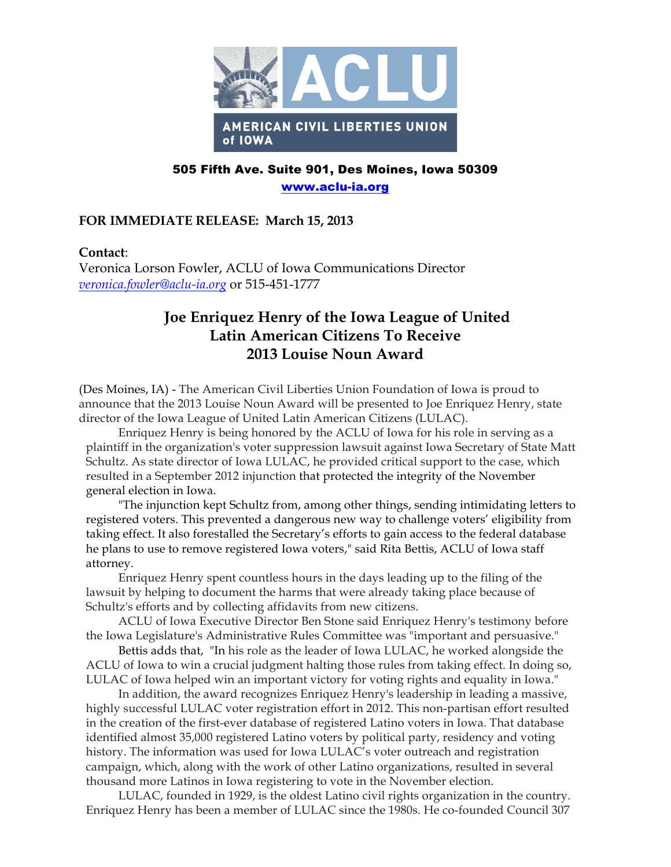

## 505 Fifth Ave. Suite 901, Des Moines, Iowa 50309 www.aclu-ia.org

## **FOR IMMEDIATE RELEASE: March 15, 2013**

## **Contact**:

Veronica Lorson Fowler, ACLU of Iowa Communications Director *veronica.fowler@aclu-ia.org* or 515-451-1777

## **Joe Enriquez Henry of the Iowa League of United Latin American Citizens To Receive 2013 Louise Noun Award**

(Des Moines, IA) - The American Civil Liberties Union Foundation of Iowa is proud to announce that the 2013 Louise Noun Award will be presented to Joe Enriquez Henry, state director of the Iowa League of United Latin American Citizens (LULAC).

Enriquez Henry is being honored by the ACLU of Iowa for his role in serving as a plaintiff in the organization's voter suppression lawsuit against Iowa Secretary of State Matt Schultz. As state director of Iowa LULAC, he provided critical support to the case, which resulted in a September 2012 injunction that protected the integrity of the November general election in Iowa.

"The injunction kept Schultz from, among other things, sending intimidating letters to registered voters. This prevented a dangerous new way to challenge voters' eligibility from taking effect. It also forestalled the Secretary's efforts to gain access to the federal database he plans to use to remove registered Iowa voters," said Rita Bettis, ACLU of Iowa staff attorney.

Enriquez Henry spent countless hours in the days leading up to the filing of the lawsuit by helping to document the harms that were already taking place because of Schultz's efforts and by collecting affidavits from new citizens.

ACLU of Iowa Executive Director Ben Stone said Enriquez Henry's testimony before the Iowa Legislature's Administrative Rules Committee was "important and persuasive."

Bettis adds that, "In his role as the leader of Iowa LULAC, he worked alongside the ACLU of Iowa to win a crucial judgment halting those rules from taking effect. In doing so, LULAC of Iowa helped win an important victory for voting rights and equality in Iowa."

In addition, the award recognizes Enriquez Henry's leadership in leading a massive, highly successful LULAC voter registration effort in 2012. This non-partisan effort resulted in the creation of the first-ever database of registered Latino voters in Iowa. That database identified almost 35,000 registered Latino voters by political party, residency and voting history. The information was used for Iowa LULAC's voter outreach and registration campaign, which, along with the work of other Latino organizations, resulted in several thousand more Latinos in Iowa registering to vote in the November election.

LULAC, founded in 1929, is the oldest Latino civil rights organization in the country. Enriquez Henry has been a member of LULAC since the 1980s. He co-founded Council 307